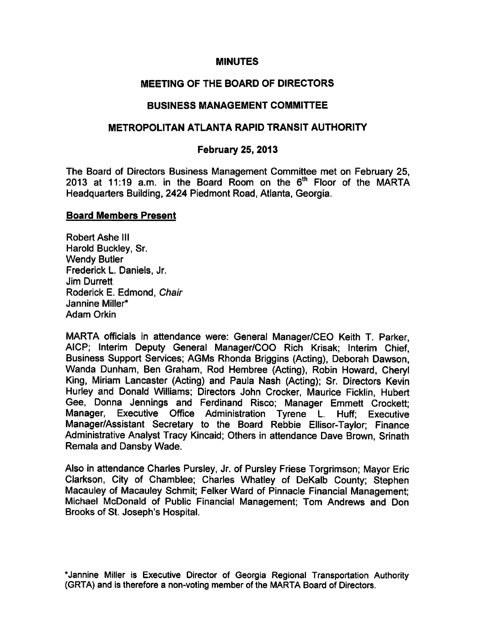### MINUTES

## MEETING OF THE BOARD OF DIRECTORS

### BUSINESS MANAGEMENT COMMITTEE

### METROPOLITAN ATLANTA RAPID TRANSIT AUTHORITY

#### February 25, 2013

The Board of Directors Business Management Committee met on February 25, 2013 at 11:19 a.m. in the Board Room on the  $6<sup>th</sup>$  Floor of the MARTA Headquarters Building, 2424 Piedmont Road, Atlanta, Georgia.

#### Board Members Present

Robert Ashe III Harold Buckley, Sr. Wendy Butler Frederick L. Daniels, Jr. Jim Durrett Roderick E. Edmond, Chair Jannine Miller\* Adam Orkin

MARTA officials in attendance were: General Manager/CEO Keith T. Parker, AICP; Interim Deputy General Manager/COO Rich Krisak; Interim Chief, Business Support Services; AGMs Rhonda Briggins (Acting), Deborah Dawson, Wanda Dunham, Ben Graham, Rod Hembree (Acting), Robin Howard, Cheryl King, Miriam Lancaster (Acting) and Paula Nash (Acting); Sr. Directors Kevin Hurley and Donald Williams; Directors John Crocker, Maurice Ficklin, Hubert Gee, Donna Jennings and Ferdinand Risco; Manager Emmett Crockett; Manager, Executive Office Administration Tyrene L. Huff; Executive Manager/Assistant Secretary to the Board Rebbie Ellisor-Taylor; Finance Administrative Analyst Tracy Kincaid; Others in attendance Dave Brown, Srinath Remala and Dansby Wade.

Also in attendance Charles Pursley, Jr. of Pursley Friese Torgrimson; Mayor Eric Clarkson, City of Chamblee; Charles Whatley of DeKalb County; Stephen Macauley of Macauley Schmit; Felker Ward of Pinnacle Financial Management; Michael McDonald of Public Financial Management; Tom Andrews and Don Brooks of St. Joseph's Hospital.

'Jannine Miller is Executive Director of Georgia Regional Transportation Authority (GRTA) and is therefore a non-voting member of the MARTA Board of Directors.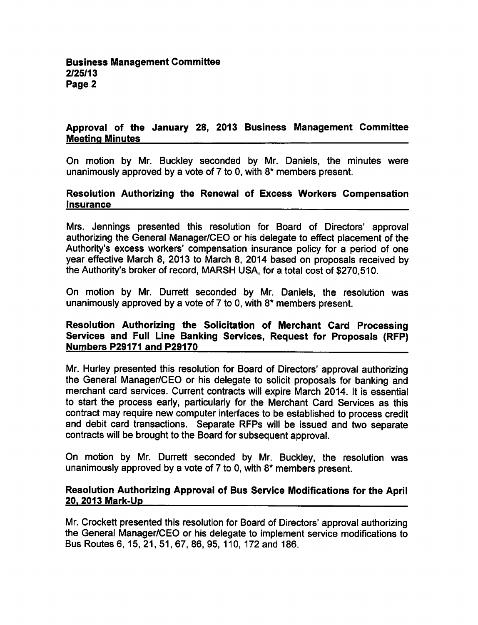### Approval of the January 28, 2013 Business Management Committee Meeting Minutes

On motion by Mr. Buckley seconded by Mr. Daniels, the minutes were unanimously approved by a vote of  $7$  to 0, with  $8*$  members present.

### Resolution Authorizing the Renewal of Excess Workers Compensation Insurance

Mrs. Jennings presented this resolution for Board of Directors' approval authorizing the General Manager/CEO or his delegate to effect placement of the Authority's excess workers' compensation insurance policy for a period of one year effective March 8, 2013 to March 8, 2014 based on proposals received by the Authority's broker of record, MARSH USA, for a total cost of \$270,510.

On motion by Mr. Durrett seconded by Mr. Daniels, the resolution was unanimously approved by a vote of  $7$  to 0, with  $8*$  members present.

### Resolution Authorizing the Solicitation of Merchant Card Processing Services and Full Line Banking Services, Request for Proposals (RFP) Numbers P29171 and P29170

Mr. Hurley presented this resolution for Board of Directors' approval authorizing the General Manager/CEO or his delegate to solicit proposals for banking and merchant card services. Current contracts will expire March 2014. It is essential to start the process early, particularly for the Merchant Card Services as this contract may require new computer interfaces to be established to process credit and debit card transactions. Separate RFPs will be issued and two separate contracts will be brought to the Board for subsequent approval.

On motion by Mr. Durrett seconded by Mr. Buckley, the resolution was unanimously approved by a vote of  $7$  to 0, with  $8*$  members present.

#### Resolution Authorizing Approval of Bus Service Modifications for the April 20. 2013 Mark-Up

Mr. Crockett presented this resolution for Board of Directors' approval authorizing the General Manager/CEO or his delegate to implement service modifications to Bus Routes 6, 15,21,51,67,86,95, 110, 172 and 186.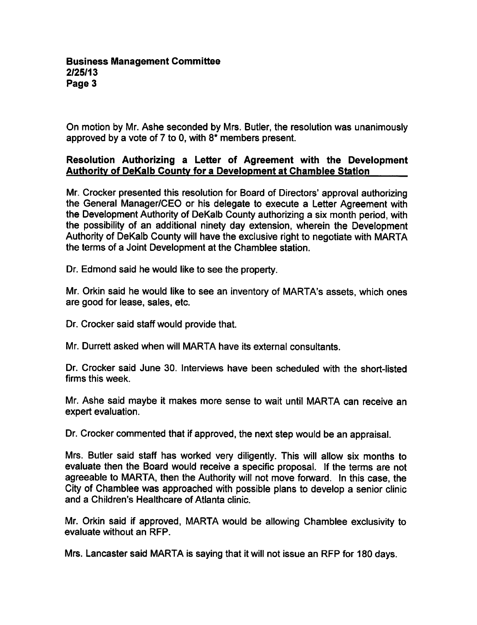On motion by Mr. Ashe seconded by Mrs. Butler, the resolution was unanimously approved by a vote of 7 to 0, with  $8*$  members present.

## Resolution Authorizing a Letter of Agreement with the Development Authority of DeKalb County for a Development at Chamblee Station

Mr. Crocker presented this resolution for Board of Directors' approval authorizing the General Manager/CEO or his delegate to execute a Letter Agreement with the Development Authority of DeKalb County authorizing a six month period, with the possibility of an additional ninety day extension, wherein the Development Authority of DeKalb County will have the exclusive right to negotiate with MARTA the terms of a Joint Development at the Chamblee station.

Dr. Edmond said he would like to see the property.

Mr. Orkin said he would like to see an inventory of MARTA's assets, which ones are good for lease, sales, etc.

Dr. Crocker said staff would provide that.

Mr. Durrett asked when will MARTA have its external consultants.

Dr. Crocker said June 30. Interviews have been scheduled with the short-listed firms this week.

Mr. Ashe said maybe it makes more sense to wait until MARTA can receive an expert evaluation.

Dr. Crocker commented that if approved, the next step would be an appraisal.

Mrs. Butler said staff has worked very diligently. This will allow six months to evaluate then the Board would receive a specific proposal. If the terms are not agreeable to MARTA, then the Authority will not move forward. In this case, the City of Chamblee was approached with possible plans to develop a senior clinic and a Children's Healthcare of Atlanta clinic.

Mr. Orkin said if approved, MARTA would be allowing Chamblee exclusivity to evaluate without an RFP.

Mrs. Lancaster said MARTA is saying that it will not issue an RFP for 180 days.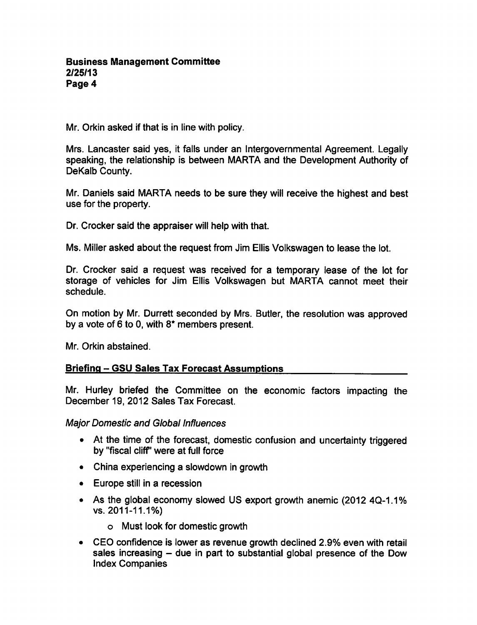Mr. Orkin asked if that is in line with policy.

Mrs. Lancaster said yes, it falls under an Intergovernmental Agreement. Legally speaking, the relationship is between MARTA and the Development Authority of DeKalb County.

Mr. Daniels said MARTA needs to be sure they will receive the highest and best use for the property.

Dr. Crocker said the appraiser will help with that.

Ms. Miller asked about the request from Jim Ellis Volkswagen to lease the lot.

Dr. Crocker said a request was received for a temporary lease of the lot for storage of vehicles for Jim Ellis Volkswagen but MARTA cannot meet their schedule.

On motion by Mr. Durrett seconded by Mrs. Butler, the resolution was approved by a vote of 6 to 0, with  $8*$  members present.

Mr. Orkin abstained.

# Briefing – GSU Sales Tax Forecast Assumptions

Mr. Hurley briefed the Committee on the economic factors impacting the December 19, 2012 Sales Tax Forecast.

Major Domestic and Global Influences

- At the time of the forecast, domestic confusion and uncertainty triggered by "fiscal cliff' were at full force
- China experiencing a slowdown in growth
- $\bullet$  Europe still in a recession
- As the global economy slowed US export growth anemic (2012 4Q-1.1% vs. 2011-11.1%)
	- Must look for domestic growth
- CEO confidence is lower as revenue growth declined 2.9% even with retail sales increasing  $-$  due in part to substantial global presence of the Dow Index Companies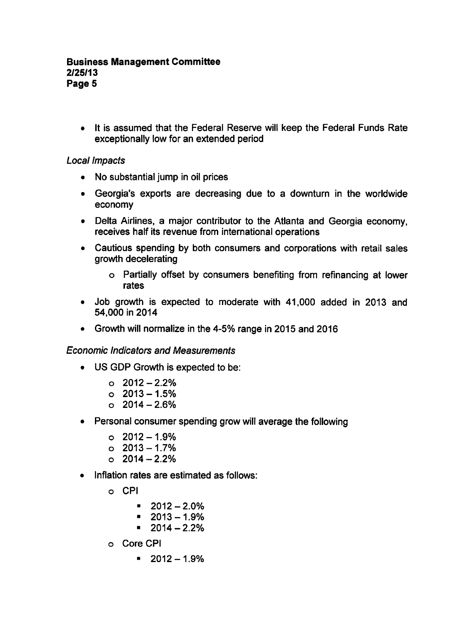It is assumed that the Federal Reserve will keep the Federal Funds Rate exceptionally low for an extended period

### Local Impacts

- No substantial jump in oil prices
- Georgia's exports are decreasing due to a downturn in the worldwide economy
- Delta Airlines, a major contributor to the Atlanta and Georgia economy, receives half its revenue from international operations
- Cautious spending by both consumers and corporations with retail sales growth decelerating
	- Partially offset by consumers benefiting from refinancing at lower rates
- Job growth is expected to moderate with 41,000 added in 2013 and 54,000 in 2014
- Growth will normalize in the 4-5% range in 2015 and 2016

Economic Indicators and Measurements

- US GDP Growth is expected to be:
	- $0.2012 2.2\%$
	- $0.2013 1.5%$
	- $0.2014 2.6\%$
- Personal consumer spending grow will average the following
	- $0.2012 1.9\%$
	- $0.2013 1.7\%$
	- $0.2014 2.2\%$
- Inflation rates are estimated as follows:
	- o CPI
		- $-2012-2.0%$
		- $-2013-1.9%$
		- $-2014-2.2%$
	- Core CPI
		- $-2012-1.9%$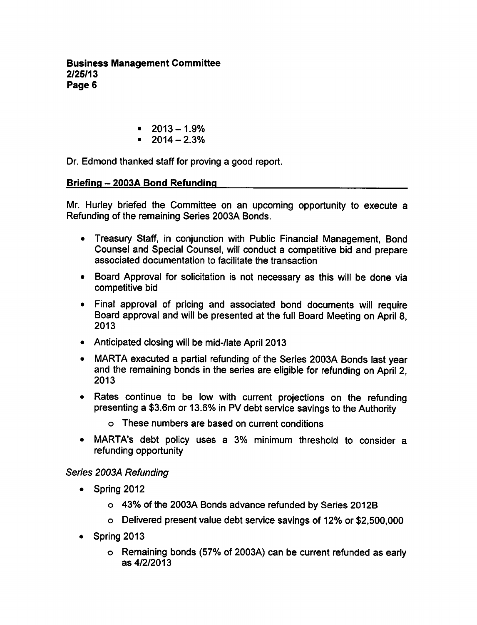Business Management Committee 2/25/13 Page 6

- $-2013-1.9%$
- $-2014-2.3%$

Dr. Edmond thanked staff for proving a good report.

## Briefing 2003A Bond Refunding

Mr. Hurley briefed the Committee on an upcoming opportunity to execute a Refunding of the remaining Series 2003A Bonds.

- Treasury Staff, in conjunction with Public Financial Management, Bond Counsel and Special Counsel, will conduct a competitive bid and prepare associated documentation to facilitate the transaction
- Board Approval for solicitation is not necessary as this will be done via competitive bid
- Final approval of pricing and associated bond documents will require Board approval and will be presented at the full Board Meeting on April 8, 2013
- Anticipated closing will be mid-/late April 2013
- MARTA executed a partial refunding of the Series 2003A Bonds last year and the remaining bonds in the series are eligible for refunding on April 2, 2013
- Rates continue to be low with current projections on the refunding presenting a \$3.6m or 13.6% in PV debt service savings to the Authority
	- These numbers are based on current conditions
- MARTA's debt policy uses a 3% minimum threshold to consider a  $\bullet$ refunding opportunity

# Series 2003A Refunding

- Spring 2012  $\bullet$ 
	- 43% of the 2003A Bonds advance refunded by Series 2012B
	- Delivered present value debt service savings of 12% or \$2,500,000
- Spring 2013  $\bullet$ 
	- Remaining bonds (57% of 2003A) can be current refunded as early as 4/2/2013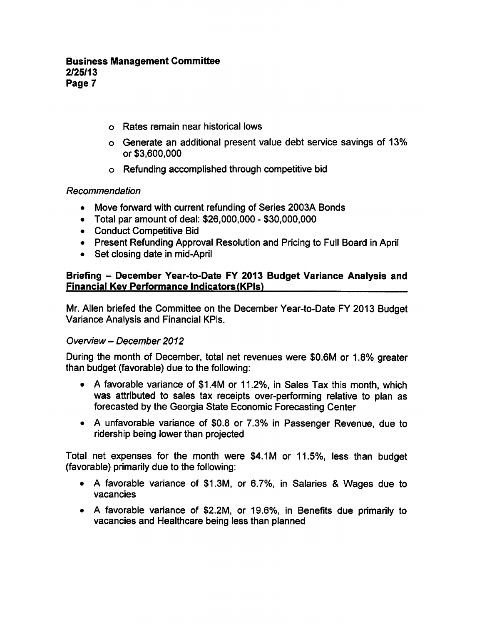### Business Management Committee 2/25/13 Page 7

- Rates remain near historical lows
- Generate an additional present value debt service savings of 13% or \$3,600,000
- Refunding accomplished through competitive bid

### Recommendation

- Move forward with current refunding of Series 2003A Bonds  $\bullet$
- $\bullet$  Total par amount of deal: \$26,000,000 \$30,000,000
- Conduct Competitive Bid
- Present Refunding Approval Resolution and Pricing to Full Board in April
- Set closing date in mid-April

### Briefing - December Year-to-Date FY 2013 Budget Variance Analysis and Financial Key Performance Indicators (KPIs)

Mr. Allen briefed the Committee on the December Year-to-Date FY 2013 Budget Variance Analysis and Financial KPIs.

### Overview - December 2012

During the month of December, total net revenues were \$0.6M or 1.8% greater than budget (favorable) due to the following:

- A favorable variance of \$1.4M or 11.2%, in Sales Tax this month, which was attributed to sales tax receipts over-performing relative to plan as forecasted by the Georgia State Economic Forecasting Center
- A unfavorable variance of \$0.8 or 7.3% in Passenger Revenue, due to ridership being lower than projected

Total net expenses for the month were \$4.1M or 11.5%, less than budget (favorable) primarily due to the following:

- A favorable variance of \$1.3M, or 6.7%, in Salaries & Wages due to vacancies
- A favorable variance of \$2.2M, or 19.6%, in Benefits due primarily to vacancies and Healthcare being less than planned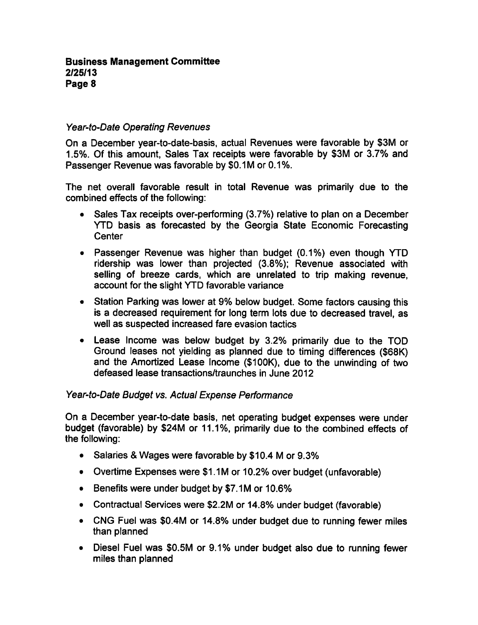## Year-to-Date Operating Revenues

On a December year-to-date-basis, actual Revenues were favorable by \$3M or 1.5%. Of this amount, Sales Tax receipts were favorable by \$3M or 3.7% and Passenger Revenue was favorable by \$0.1M or 0.1%.

The net overall favorable result in total Revenue was primarily due to the combined effects of the following:

- Sales Tax receipts over-performing (3.7%) relative to plan on a December  $\bullet$ YTD basis as forecasted by the Georgia State Economic Forecasting **Center**
- Passenger Revenue was higher than budget (0.1%) even though YTD ridership was lower than projected (3.8%); Revenue associated with selling of breeze cards, which are unrelated to trip making revenue, account for the slight YTD favorable variance
- Station Parking was lower at 9% below budget. Some factors causing this is a decreased requirement for long term lots due to decreased travel, as well as suspected increased fare evasion tactics
- Lease Income was below budget by 3.2% primarily due to the TOD Ground leases not yielding as planned due to timing differences (\$68K) and the Amortized Lease Income (\$100K), due to the unwinding of two defeased lease transactions/traunches in June 2012

### Year-to-Date Budget vs. Actual Expense Perfonnance

On a December year-to-date basis, net operating budget expenses were under budget (favorable) by \$24M or 11.1%, primarily due to the combined effects of the following:

- Salaries & Wages were favorable by \$10.4 M or 9.3%
- Overtime Expenses were \$1.1M or 10.2% over budget (unfavorable)
- Benefits were under budget by \$7.1M or 10.6%
- Contractual Services were \$2.2M or 14.8% under budget (favorable)
- CNG Fuel was \$0.4M or 14.8% under budget due to running fewer miles than planned
- Diesel Fuel was \$0.5M or 9.1% under budget also due to running fewer miles than planned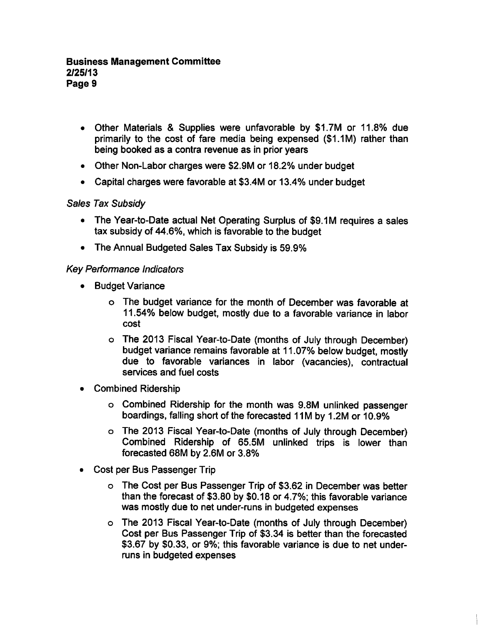- Other Materials & Supplies were unfavorable by \$1.7M or 11.8% due primarily to the cost of fare media being expensed (\$1.1M) rather than being booked as contra revenue as in prior years
- Other Non-Labor charges were \$2.9M or 18.2% under budget
- Capital charges were favorable at \$3.4M or 13.4% under budget

### Sales Tax Subsidy

- The Year-to-Date actual Net Operating Surplus of \$9.1M requires a sales tax subsidy of 44.6%, which is favorable to the budget
- The Annual Budgeted Sales Tax Subsidy is 59.9%

### Key Performance Indicators

- Budget Variance  $\bullet$ 
	- The budget variance for the month of December was favorable at 11.54% below budget, mostly due to a favorable variance in labor cost
	- The 2013 Fiscal Year-to-Date (months of July through December) budget variance remains favorable at 11.07% below budget, mostly due to favorable variances in labor (vacancies), contractual services and fuel costs
- Combined Ridership  $\bullet$ 
	- Combined Ridership for the month was 9.8M unlinked passenger boardings, falling short of the forecasted 11M by 1.2M or 10.9%
	- The 2013 Fiscal Year-to-Date (months of July through December) Combined Ridership of 65.5M unlinked trips is lower than forecasted 68M by 2.6M or 3.8%
- Cost per Bus Passenger Trip  $\bullet$ 
	- The Cost per Bus Passenger Trip of \$3.62 in December was better than the forecast of \$3.80 by \$0.18 or 4.7%; this favorable variance was mostly due to net under-runs in budgeted expenses
	- The 2013 Fiscal Year-to-Date (months of July through December) Cost per Bus Passenger Trip of \$3.34 is better than the forecasted \$3.67 by \$0.33, or 9%; this favorable variance is due to net underruns in budgeted expenses